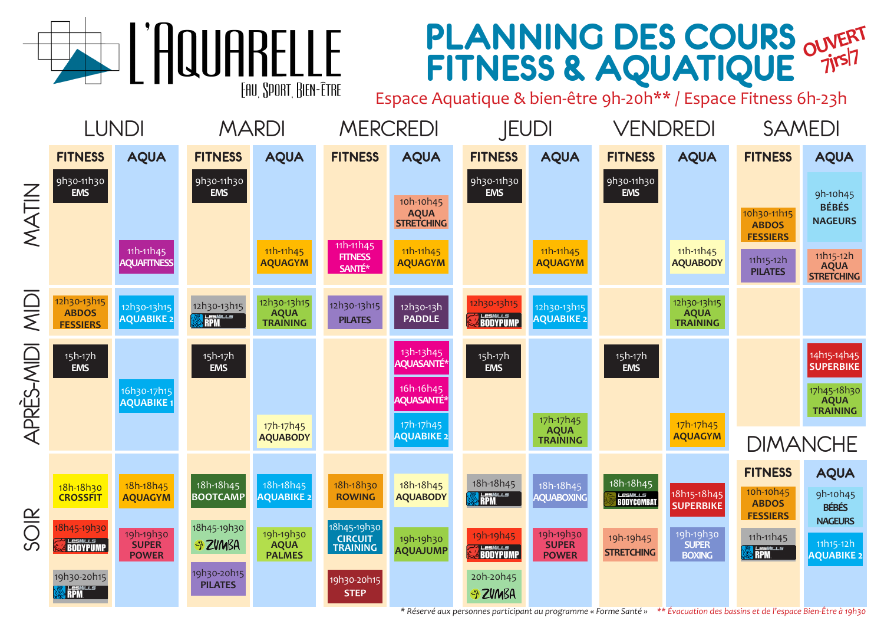## **PLANNING DES COURS FITNESS & AQUATIQUE OUVERT 7jrs/7**

Espace Aquatique & bien-être 9h-20h\*\* / Espace Fitness 6h-23h



**EXAMPLE** 

FAU SPORT RIEN-ÊTRE

*\* Réservé aux personnes participant au programme « Forme Santé » \*\* Évacuation des bassins et de l'espace Bien-Être à 19h30*